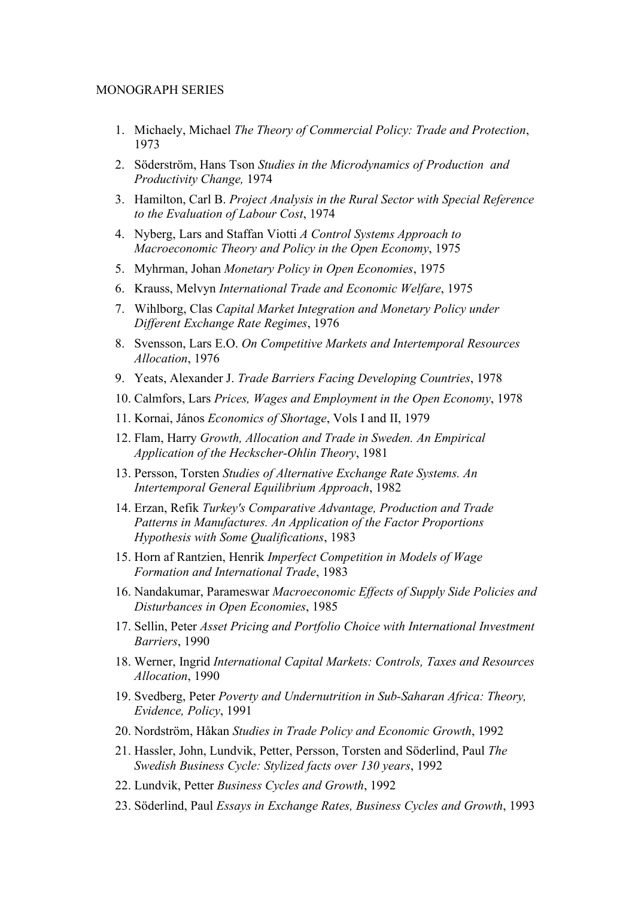## MONOGRAPH SERIES

- 1. Michaely, Michael *The Theory of Commercial Policy: Trade and Protection*, 1973
- 2. Söderström, Hans Tson *Studies in the Microdynamics of Production and Productivity Change,* 1974
- 3. Hamilton, Carl B. *Project Analysis in the Rural Sector with Special Reference to the Evaluation of Labour Cost*, 1974
- 4. Nyberg, Lars and Staffan Viotti *A Control Systems Approach to Macroeconomic Theory and Policy in the Open Economy*, 1975
- 5. Myhrman, Johan *Monetary Policy in Open Economies*, 1975
- 6. Krauss, Melvyn *International Trade and Economic Welfare*, 1975
- 7. Wihlborg, Clas *Capital Market Integration and Monetary Policy under Different Exchange Rate Regimes*, 1976
- 8. Svensson, Lars E.O. *On Competitive Markets and Intertemporal Resources Allocation*, 1976
- 9. Yeats, Alexander J. *Trade Barriers Facing Developing Countries*, 1978
- 10. Calmfors, Lars *Prices, Wages and Employment in the Open Economy*, 1978
- 11. Kornai, János *Economics of Shortage*, Vols I and II, 1979
- 12. Flam, Harry *Growth, Allocation and Trade in Sweden. An Empirical Application of the Heckscher-Ohlin Theory*, 1981
- 13. Persson, Torsten *Studies of Alternative Exchange Rate Systems. An Intertemporal General Equilibrium Approach*, 1982
- 14. Erzan, Refik *Turkey's Comparative Advantage, Production and Trade Patterns in Manufactures. An Application of the Factor Proportions Hypothesis with Some Qualifications*, 1983
- 15. Horn af Rantzien, Henrik *Imperfect Competition in Models of Wage Formation and International Trade*, 1983
- 16. Nandakumar, Parameswar *Macroeconomic Effects of Supply Side Policies and Disturbances in Open Economies*, 1985
- 17. Sellin, Peter *Asset Pricing and Portfolio Choice with International Investment Barriers*, 1990
- 18. Werner, Ingrid *International Capital Markets: Controls, Taxes and Resources Allocation*, 1990
- 19. Svedberg, Peter *Poverty and Undernutrition in Sub-Saharan Africa: Theory, Evidence, Policy*, 1991
- 20. Nordström, Håkan *Studies in Trade Policy and Economic Growth*, 1992
- 21. Hassler, John, Lundvik, Petter, Persson, Torsten and Söderlind, Paul *The Swedish Business Cycle: Stylized facts over 130 years*, 1992
- 22. Lundvik, Petter *Business Cycles and Growth*, 1992
- 23. Söderlind, Paul *Essays in Exchange Rates, Business Cycles and Growth*, 1993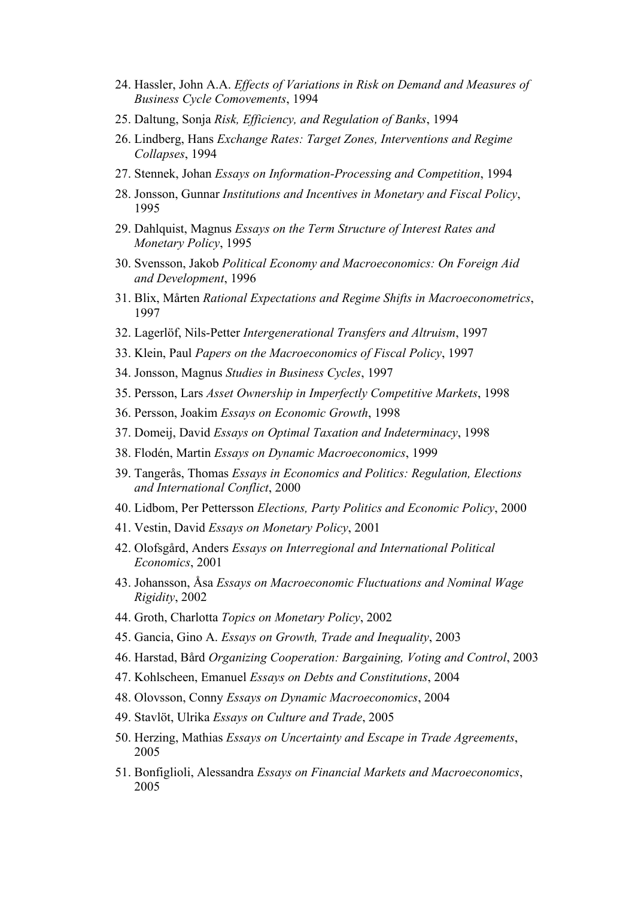- 24. Hassler, John A.A. *Effects of Variations in Risk on Demand and Measures of Business Cycle Comovements*, 1994
- 25. Daltung, Sonja *Risk, Efficiency, and Regulation of Banks*, 1994
- 26. Lindberg, Hans *Exchange Rates: Target Zones, Interventions and Regime Collapses*, 1994
- 27. Stennek, Johan *Essays on Information-Processing and Competition*, 1994
- 28. Jonsson, Gunnar *Institutions and Incentives in Monetary and Fiscal Policy*, 1995
- 29. Dahlquist, Magnus *Essays on the Term Structure of Interest Rates and Monetary Policy*, 1995
- 30. Svensson, Jakob *Political Economy and Macroeconomics: On Foreign Aid and Development*, 1996
- 31. Blix, Mårten *Rational Expectations and Regime Shifts in Macroeconometrics*, 1997
- 32. Lagerlöf, Nils-Petter *Intergenerational Transfers and Altruism*, 1997
- 33. Klein, Paul *Papers on the Macroeconomics of Fiscal Policy*, 1997
- 34. Jonsson, Magnus *Studies in Business Cycles*, 1997
- 35. Persson, Lars *Asset Ownership in Imperfectly Competitive Markets*, 1998
- 36. Persson, Joakim *Essays on Economic Growth*, 1998
- 37. Domeij, David *Essays on Optimal Taxation and Indeterminacy*, 1998
- 38. Flodén, Martin *Essays on Dynamic Macroeconomics*, 1999
- 39. Tangerås, Thomas *Essays in Economics and Politics: Regulation, Elections and International Conflict*, 2000
- 40. Lidbom, Per Pettersson *Elections, Party Politics and Economic Policy*, 2000
- 41. Vestin, David *Essays on Monetary Policy*, 2001
- 42. Olofsgård, Anders *Essays on Interregional and International Political Economics*, 2001
- 43. Johansson, Åsa *Essays on Macroeconomic Fluctuations and Nominal Wage Rigidity*, 2002
- 44. Groth, Charlotta *Topics on Monetary Policy*, 2002
- 45. Gancia, Gino A. *Essays on Growth, Trade and Inequality*, 2003
- 46. Harstad, Bård *Organizing Cooperation: Bargaining, Voting and Control*, 2003
- 47. Kohlscheen, Emanuel *Essays on Debts and Constitutions*, 2004
- 48. Olovsson, Conny *Essays on Dynamic Macroeconomics*, 2004
- 49. Stavlöt, Ulrika *Essays on Culture and Trade*, 2005
- 50. Herzing, Mathias *Essays on Uncertainty and Escape in Trade Agreements*, 2005
- 51. Bonfiglioli, Alessandra *Essays on Financial Markets and Macroeconomics*, 2005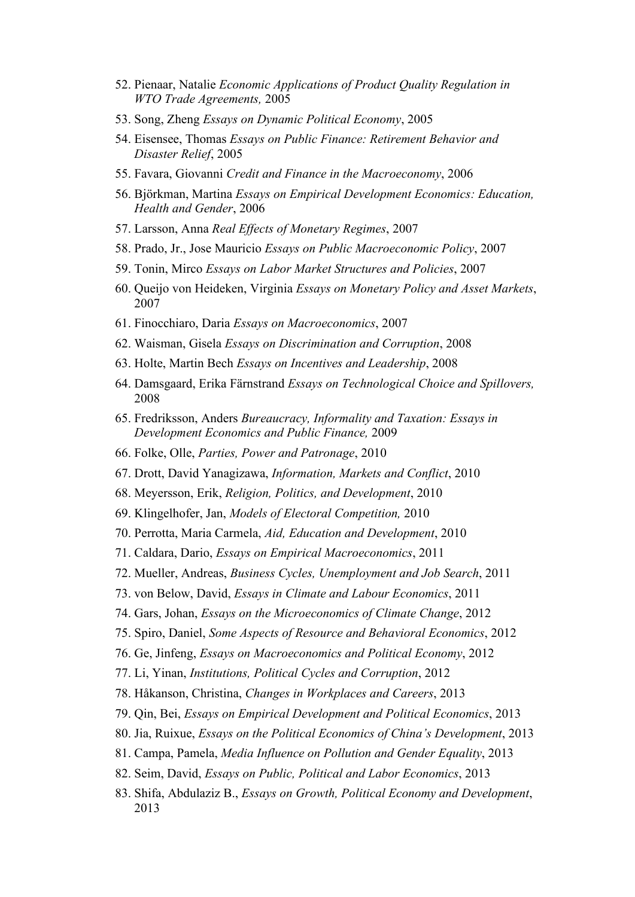- 52. Pienaar, Natalie *Economic Applications of Product Quality Regulation in WTO Trade Agreements,* 2005
- 53. Song, Zheng *Essays on Dynamic Political Economy*, 2005
- 54. Eisensee, Thomas *Essays on Public Finance: Retirement Behavior and Disaster Relief*, 2005
- 55. Favara, Giovanni *Credit and Finance in the Macroeconomy*, 2006
- 56. Björkman, Martina *Essays on Empirical Development Economics: Education, Health and Gender*, 2006
- 57. Larsson, Anna *Real Effects of Monetary Regimes*, 2007
- 58. Prado, Jr., Jose Mauricio *Essays on Public Macroeconomic Policy*, 2007
- 59. Tonin, Mirco *Essays on Labor Market Structures and Policies*, 2007
- 60. Queijo von Heideken, Virginia *Essays on Monetary Policy and Asset Markets*, 2007
- 61. Finocchiaro, Daria *Essays on Macroeconomics*, 2007
- 62. Waisman, Gisela *Essays on Discrimination and Corruption*, 2008
- 63. Holte, Martin Bech *Essays on Incentives and Leadership*, 2008
- 64. Damsgaard, Erika Färnstrand *Essays on Technological Choice and Spillovers,* 2008
- 65. Fredriksson, Anders *Bureaucracy, Informality and Taxation: Essays in Development Economics and Public Finance,* 2009
- 66. Folke, Olle, *[Parties, Power and Patronage](http://www.iies.su.se/content/1/c6/04/52/92/66.pdf)*, 2010
- 67. Drott, David Yanagizawa, *[Information, Markets and Conflict](http://www.iies.su.se/content/1/c6/04/52/92/67DYD.pdf)*, 2010
- 68. Meyersson, Erik, *[Religion, Politics, and Development](http://www.iies.su.se/content/1/c6/04/52/92/68EM.pdf)*, 2010
- 69. Klingelhofer, Jan, *[Models of Electoral Competition,](http://www.iies.su.se/content/1/c6/04/52/92/69JK.pdf)* 2010
- 70. Perrotta, Maria Carmela, *[Aid, Education and Development](http://www.iies.su.se/content/1/c6/04/52/92/70.pdf)*, 2010
- 71. Caldara, Dario, *[Essays on Empirical Macroeconomics](http://www.iies.su.se/content/1/c6/04/52/92/71.pdf)*, 2011
- 72. Mueller, Andreas, *[Business Cycles, Unemployment and Job Search](http://www.iies.su.se/content/1/c6/04/52/92/72.pdf)*, 2011
- 73. von Below, David, *[Essays in Climate and Labour Economics](http://www.iies.su.se/content/1/c6/04/52/92/73.pdf)*, 2011
- 74. Gars, Johan, *Essays on the Microeconomics of Climate Change*, 2012
- 75. Spiro, Daniel, *Some Aspects of Resource and Behavioral Economics*, 2012
- 76. Ge, Jinfeng, *Essays on Macroeconomics and Political Economy*, 2012
- 77. Li, Yinan, *Institutions, Political Cycles and Corruption*, 2012
- 78. Håkanson, Christina, *Changes in Workplaces and Careers*, 2013
- 79. Qin, Bei, *Essays on Empirical Development and Political Economics*, 2013
- 80. Jia, Ruixue, *Essays on the Political Economics of China's Development*, 2013
- 81. Campa, Pamela, *Media Influence on Pollution and Gender Equality*, 2013
- 82. Seim, David, *Essays on Public, Political and Labor Economics*, 2013
- 83. Shifa, Abdulaziz B., *Essays on Growth, Political Economy and Development*, 2013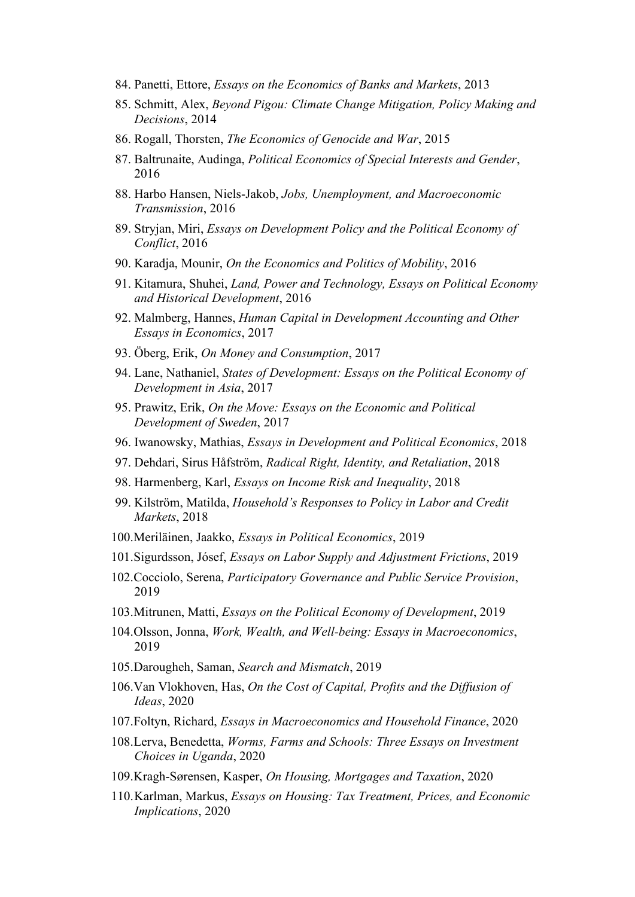- 84. Panetti, Ettore, *Essays on the Economics of Banks and Markets*, 2013
- 85. Schmitt, Alex, *Beyond Pigou: Climate Change Mitigation, Policy Making and Decisions*, 2014
- 86. Rogall, Thorsten, *The Economics of Genocide and War*, 2015
- 87. Baltrunaite, Audinga, *Political Economics of Special Interests and Gender*, 2016
- 88. Harbo Hansen, Niels-Jakob, *Jobs, Unemployment, and Macroeconomic Transmission*, 2016
- 89. Stryjan, Miri, *Essays on Development Policy and the Political Economy of Conflict*, 2016
- 90. Karadja, Mounir, *On the Economics and Politics of Mobility*, 2016
- 91. Kitamura, Shuhei, *Land, Power and Technology, Essays on Political Economy and Historical Development*, 2016
- 92. Malmberg, Hannes, *Human Capital in Development Accounting and Other Essays in Economics*, 2017
- 93. Öberg, Erik, *On Money and Consumption*, 2017
- 94. Lane, Nathaniel, *States of Development: Essays on the Political Economy of Development in Asia*, 2017
- 95. Prawitz, Erik, *On the Move: Essays on the Economic and Political Development of Sweden*, 2017
- 96. Iwanowsky, Mathias, *Essays in Development and Political Economics*, 2018
- 97. Dehdari, Sirus Håfström, *Radical Right, Identity, and Retaliation*, 2018
- 98. Harmenberg, Karl, *Essays on Income Risk and Inequality*, 2018
- 99. Kilström, Matilda, *Household's Responses to Policy in Labor and Credit Markets*, 2018
- 100.Meriläinen, Jaakko, *Essays in Political Economics*, 2019
- 101.Sigurdsson, Jósef, *Essays on Labor Supply and Adjustment Frictions*, 2019
- 102.Cocciolo, Serena, *Participatory Governance and Public Service Provision*, 2019
- 103.Mitrunen, Matti, *Essays on the Political Economy of Development*, 2019
- 104.Olsson, Jonna, *Work, Wealth, and Well-being: Essays in Macroeconomics*, 2019
- 105.Darougheh, Saman, *Search and Mismatch*, 2019
- 106.Van Vlokhoven, Has, *On the Cost of Capital, Profits and the Diffusion of Ideas*, 2020
- 107.Foltyn, Richard, *Essays in Macroeconomics and Household Finance*, 2020
- 108.Lerva, Benedetta, *Worms, Farms and Schools: Three Essays on Investment Choices in Uganda*, 2020
- 109.Kragh-Sørensen, Kasper, *On Housing, Mortgages and Taxation*, 2020
- 110.Karlman, Markus, *Essays on Housing: Tax Treatment, Prices, and Economic Implications*, 2020